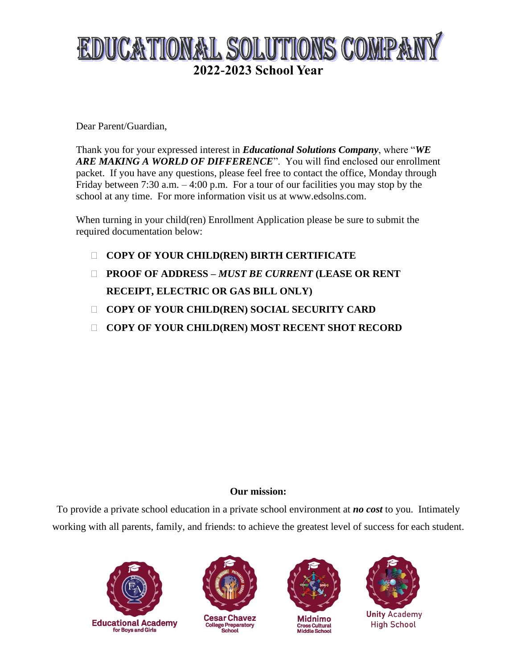# EDUCATIONAL SOLUTIONS COMPANY **2022-2023 School Year**

Dear Parent/Guardian,

Thank you for your expressed interest in *Educational Solutions Company*, where "*WE ARE MAKING A WORLD OF DIFFERENCE*". You will find enclosed our enrollment packet. If you have any questions, please feel free to contact the office, Monday through Friday between 7:30 a.m. – 4:00 p.m. For a tour of our facilities you may stop by the school at any time. For more information visit us at www.edsolns.com.

When turning in your child(ren) Enrollment Application please be sure to submit the required documentation below:

- **COPY OF YOUR CHILD(REN) BIRTH CERTIFICATE**
- **PROOF OF ADDRESS –** *MUST BE CURRENT* **(LEASE OR RENT RECEIPT, ELECTRIC OR GAS BILL ONLY)**
- **COPY OF YOUR CHILD(REN) SOCIAL SECURITY CARD**
- **COPY OF YOUR CHILD(REN) MOST RECENT SHOT RECORD**

# **Our mission:**

To provide a private school education in a private school environment at *no cost* to you. Intimately working with all parents, family, and friends: to achieve the greatest level of success for each student.





**Cesar Chavez College Preparatory** School



Midnimo Cross Cultural<br>Middle School



**Unity Academy High School**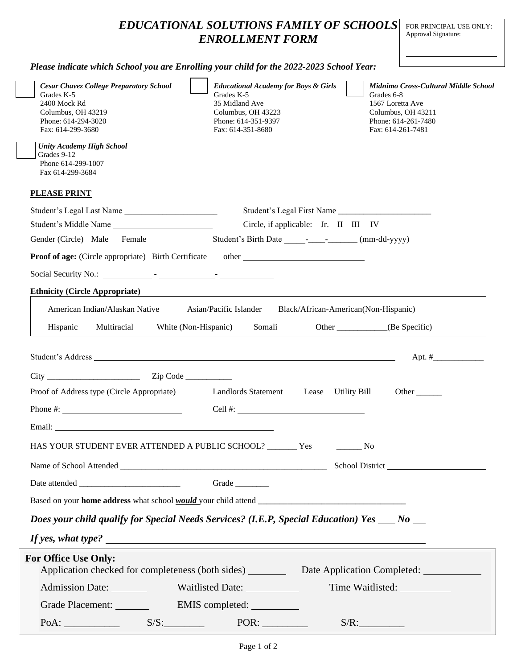|                                                                                                                                                                                                                                             | <b>EDUCATIONAL SOLUTIONS FAMILY OF SCHOOLS</b><br><b>ENROLLMENT FORM</b>                                                                                                                                                      | FOR PRINCIPAL USE ONLY:<br>Approval Signature:                                                                                           |
|---------------------------------------------------------------------------------------------------------------------------------------------------------------------------------------------------------------------------------------------|-------------------------------------------------------------------------------------------------------------------------------------------------------------------------------------------------------------------------------|------------------------------------------------------------------------------------------------------------------------------------------|
| Please indicate which School you are Enrolling your child for the 2022-2023 School Year:                                                                                                                                                    |                                                                                                                                                                                                                               |                                                                                                                                          |
| <b>Cesar Chavez College Preparatory School</b><br>Grades K-5<br>2400 Mock Rd<br>Columbus, OH 43219<br>Phone: 614-294-3020<br>Fax: 614-299-3680<br><b>Unity Academy High School</b><br>Grades 9-12<br>Phone 614-299-1007<br>Fax 614-299-3684 | <b>Educational Academy for Boys &amp; Girls</b><br>Grades K-5<br>35 Midland Ave<br>Columbus, OH 43223<br>Phone: 614-351-9397<br>Fax: 614-351-8680                                                                             | Midnimo Cross-Cultural Middle School<br>Grades 6-8<br>1567 Loretta Ave<br>Columbus, OH 43211<br>Phone: 614-261-7480<br>Fax: 614-261-7481 |
| <b>PLEASE PRINT</b>                                                                                                                                                                                                                         |                                                                                                                                                                                                                               |                                                                                                                                          |
| Student's Legal Last Name                                                                                                                                                                                                                   | Student's Legal First Name                                                                                                                                                                                                    |                                                                                                                                          |
| Student's Middle Name                                                                                                                                                                                                                       | Circle, if applicable: Jr. II III IV                                                                                                                                                                                          |                                                                                                                                          |
| Gender (Circle) Male Female                                                                                                                                                                                                                 | Student's Birth Date _____________________ (mm-dd-yyyy)                                                                                                                                                                       |                                                                                                                                          |
| <b>Proof of age:</b> (Circle appropriate) Birth Certificate                                                                                                                                                                                 | other and the contract of the contract of the contract of the contract of the contract of the contract of the contract of the contract of the contract of the contract of the contract of the contract of the contract of the |                                                                                                                                          |
|                                                                                                                                                                                                                                             |                                                                                                                                                                                                                               |                                                                                                                                          |
| <b>Ethnicity (Circle Appropriate)</b>                                                                                                                                                                                                       |                                                                                                                                                                                                                               |                                                                                                                                          |
| American Indian/Alaskan Native                                                                                                                                                                                                              | Asian/Pacific Islander                                                                                                                                                                                                        | Black/African-American(Non-Hispanic)                                                                                                     |
|                                                                                                                                                                                                                                             |                                                                                                                                                                                                                               |                                                                                                                                          |
| Multiracial<br>Hispanic<br>White (Non-Hispanic)                                                                                                                                                                                             | Somali                                                                                                                                                                                                                        | Other (Be Specific)                                                                                                                      |
|                                                                                                                                                                                                                                             |                                                                                                                                                                                                                               | Apt. $#$                                                                                                                                 |
|                                                                                                                                                                                                                                             |                                                                                                                                                                                                                               |                                                                                                                                          |
| Proof of Address type (Circle Appropriate)                                                                                                                                                                                                  | Landlords Statement Lease Utility Bill                                                                                                                                                                                        | Other                                                                                                                                    |
| Phone $\#$ :                                                                                                                                                                                                                                | Cell #: $\qquad \qquad$                                                                                                                                                                                                       |                                                                                                                                          |
|                                                                                                                                                                                                                                             |                                                                                                                                                                                                                               |                                                                                                                                          |
| HAS YOUR STUDENT EVER ATTENDED A PUBLIC SCHOOL? _______ Yes                                                                                                                                                                                 |                                                                                                                                                                                                                               | N <sub>0</sub>                                                                                                                           |
|                                                                                                                                                                                                                                             |                                                                                                                                                                                                                               | School District                                                                                                                          |

Date attended \_\_\_\_\_\_\_\_\_\_\_\_\_\_\_\_\_\_\_\_\_\_\_\_ Grade \_\_\_\_\_\_\_\_ Based on your **home address** what school *would* your child attend \_\_\_\_\_\_\_\_\_\_\_\_\_\_\_\_\_\_\_\_\_\_\_\_\_\_\_\_\_\_\_\_\_\_\_

*Does your child qualify for Special Needs Services? (I.E.P, Special Education) Yes \_\_\_ No \_\_* 

*If yes, what type?* 

| <b>For Office Use Only:</b><br>Application checked for completeness (both sides) |                  | Date Application Completed: |
|----------------------------------------------------------------------------------|------------------|-----------------------------|
| <b>Admission Date:</b>                                                           | Waitlisted Date: | Time Waitlisted:            |
| Grade Placement:                                                                 | EMIS completed:  |                             |
| PoA:                                                                             | POR:<br>S/S:     | $S/R$ :                     |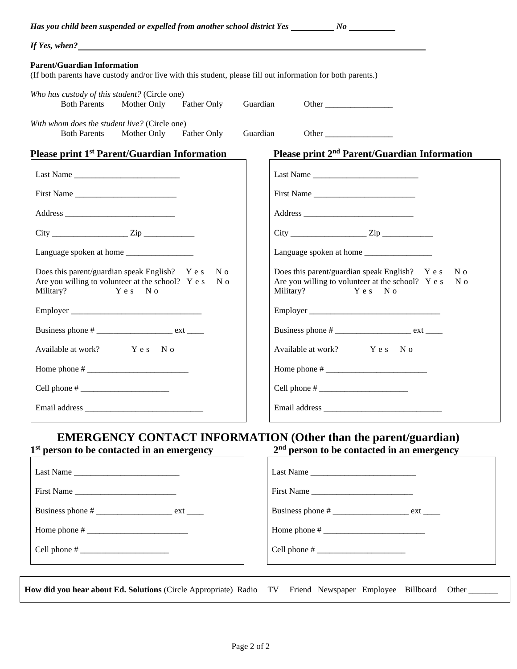| If Yes, when?                                                                                                                                                                                                                                                                                                                                                                                                      |                                                                                                                                          |
|--------------------------------------------------------------------------------------------------------------------------------------------------------------------------------------------------------------------------------------------------------------------------------------------------------------------------------------------------------------------------------------------------------------------|------------------------------------------------------------------------------------------------------------------------------------------|
| <b>Parent/Guardian Information</b><br>(If both parents have custody and/or live with this student, please fill out information for both parents.)                                                                                                                                                                                                                                                                  |                                                                                                                                          |
| Who has custody of this student? (Circle one)<br>Father Only<br><b>Both Parents</b><br>Mother Only                                                                                                                                                                                                                                                                                                                 | Guardian<br>Other                                                                                                                        |
| With whom does the student live? (Circle one)<br>Father Only<br><b>Both Parents</b><br>Mother Only                                                                                                                                                                                                                                                                                                                 | Guardian<br>Other                                                                                                                        |
| Please print 1 <sup>st</sup> Parent/Guardian Information                                                                                                                                                                                                                                                                                                                                                           | Please print 2 <sup>nd</sup> Parent/Guardian Information                                                                                 |
| Last Name $\frac{1}{\sqrt{1-\frac{1}{2}}}\left\{ \frac{1}{2}, \frac{1}{2}, \frac{1}{2}, \frac{1}{2}, \frac{1}{2}, \frac{1}{2}, \frac{1}{2}, \frac{1}{2}, \frac{1}{2}, \frac{1}{2}, \frac{1}{2}, \frac{1}{2}, \frac{1}{2}, \frac{1}{2}, \frac{1}{2}, \frac{1}{2}, \frac{1}{2}, \frac{1}{2}, \frac{1}{2}, \frac{1}{2}, \frac{1}{2}, \frac{1}{2}, \frac{1}{2}, \frac{1}{2}, \frac{1}{2}, \frac{1}{2}, \frac{1}{2}, \$ |                                                                                                                                          |
| First Name                                                                                                                                                                                                                                                                                                                                                                                                         | First Name                                                                                                                               |
|                                                                                                                                                                                                                                                                                                                                                                                                                    |                                                                                                                                          |
|                                                                                                                                                                                                                                                                                                                                                                                                                    |                                                                                                                                          |
|                                                                                                                                                                                                                                                                                                                                                                                                                    | Language spoken at home                                                                                                                  |
| Does this parent/guardian speak English? Y e s<br>N o<br>Are you willing to volunteer at the school? Y e s<br>N o<br>Yes No<br>Military?                                                                                                                                                                                                                                                                           | Does this parent/guardian speak English? Y e s<br>N o<br>Are you willing to volunteer at the school? Y e s<br>N 0<br>Military?<br>Yes No |
|                                                                                                                                                                                                                                                                                                                                                                                                                    |                                                                                                                                          |
|                                                                                                                                                                                                                                                                                                                                                                                                                    |                                                                                                                                          |
| Available at work? Yes No                                                                                                                                                                                                                                                                                                                                                                                          | Available at work? Y e s N o                                                                                                             |
|                                                                                                                                                                                                                                                                                                                                                                                                                    |                                                                                                                                          |
|                                                                                                                                                                                                                                                                                                                                                                                                                    |                                                                                                                                          |
|                                                                                                                                                                                                                                                                                                                                                                                                                    |                                                                                                                                          |
| 1 <sup>st</sup> person to be contacted in an emergency                                                                                                                                                                                                                                                                                                                                                             | <b>EMERGENCY CONTACT INFORMATION (Other than the parent/guardian)</b><br>$2nd$ person to be contacted in an emergency                    |
| Last Name                                                                                                                                                                                                                                                                                                                                                                                                          | Last Name                                                                                                                                |
| First Name                                                                                                                                                                                                                                                                                                                                                                                                         | First Name                                                                                                                               |
|                                                                                                                                                                                                                                                                                                                                                                                                                    | Business phone # ________________________ ext ______                                                                                     |
|                                                                                                                                                                                                                                                                                                                                                                                                                    |                                                                                                                                          |
|                                                                                                                                                                                                                                                                                                                                                                                                                    |                                                                                                                                          |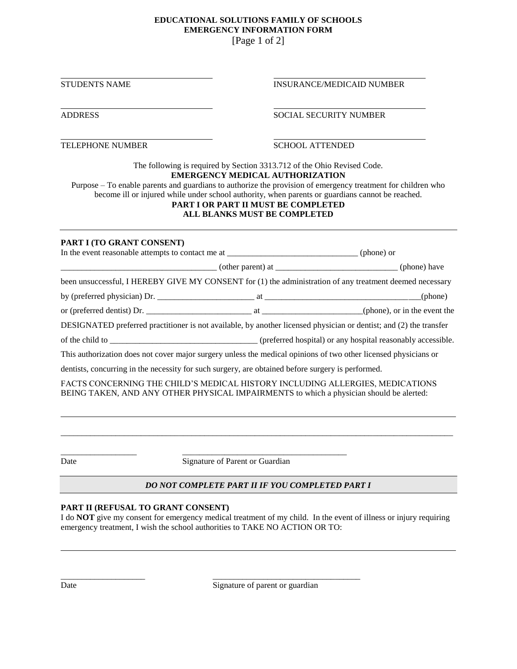#### **EDUCATIONAL SOLUTIONS FAMILY OF SCHOOLS EMERGENCY INFORMATION FORM** [Page 1 of 2]

STUDENTS NAME **INSURANCE/MEDICAID NUMBER** 

#### ADDRESS SOCIAL SECURITY NUMBER

TELEPHONE NUMBER SCHOOL ATTENDED

The following is required by Section 3313.712 of the Ohio Revised Code. **EMERGENCY MEDICAL AUTHORIZATION**

Purpose – To enable parents and guardians to authorize the provision of emergency treatment for children who become ill or injured while under school authority, when parents or guardians cannot be reached. **PART I OR PART II MUST BE COMPLETED** 

# **ALL BLANKS MUST BE COMPLETED**

#### **PART I (TO GRANT CONSENT)**

| In the event reasonable attempts to contact me at _______________________________(phone) or                        |  |  |  |  |
|--------------------------------------------------------------------------------------------------------------------|--|--|--|--|
|                                                                                                                    |  |  |  |  |
| been unsuccessful, I HEREBY GIVE MY CONSENT for (1) the administration of any treatment deemed necessary           |  |  |  |  |
|                                                                                                                    |  |  |  |  |
| or (preferred dentist) Dr.                                                                                         |  |  |  |  |
| DESIGNATED preferred practitioner is not available, by another licensed physician or dentist; and (2) the transfer |  |  |  |  |
|                                                                                                                    |  |  |  |  |
| This authorization does not cover major surgery unless the medical opinions of two other licensed physicians or    |  |  |  |  |
| dentists, concurring in the necessity for such surgery, are obtained before surgery is performed.                  |  |  |  |  |

FACTS CONCERNING THE CHILD'S MEDICAL HISTORY INCLUDING ALLERGIES, MEDICATIONS BEING TAKEN, AND ANY OTHER PHYSICAL IMPAIRMENTS to which a physician should be alerted:

\_\_\_\_\_\_\_\_\_\_\_\_\_\_\_\_\_\_ \_\_\_\_\_\_\_\_\_\_\_\_\_\_\_\_\_\_\_\_\_\_\_\_\_\_\_\_\_\_\_\_\_\_\_\_\_\_\_ Date Signature of Parent or Guardian

\_\_\_\_\_\_\_\_\_\_\_\_\_\_\_\_\_\_\_\_ \_\_\_\_\_\_\_\_\_\_\_\_\_\_\_\_\_\_\_\_\_\_\_\_\_\_\_\_\_\_\_\_\_\_\_

# *DO NOT COMPLETE PART II IF YOU COMPLETED PART I*

\_\_\_\_\_\_\_\_\_\_\_\_\_\_\_\_\_\_\_\_\_\_\_\_\_\_\_\_\_\_\_\_\_\_\_\_\_\_\_\_\_\_\_\_\_\_\_\_\_\_\_\_\_\_\_\_\_\_\_\_\_\_\_\_\_\_\_\_\_\_\_\_\_\_\_\_\_\_\_\_\_\_\_\_\_\_\_\_\_\_\_\_\_

# **PART II (REFUSAL TO GRANT CONSENT)**

I do **NOT** give my consent for emergency medical treatment of my child. In the event of illness or injury requiring emergency treatment, I wish the school authorities to TAKE NO ACTION OR TO:

Date Signature of parent or guardian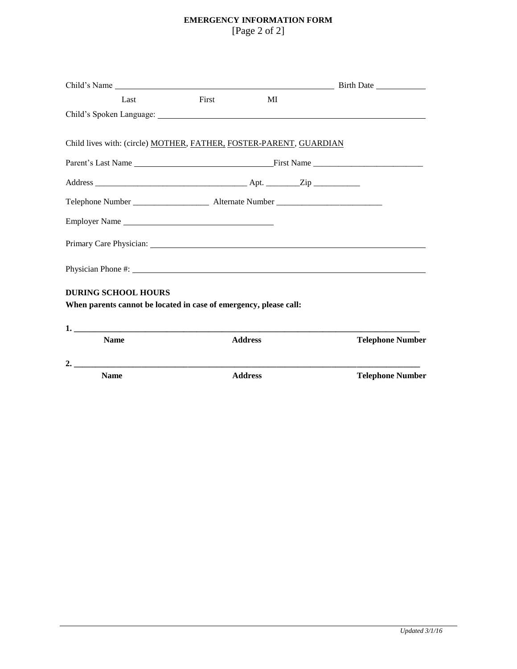# **EMERGENCY INFORMATION FORM** [Page 2 of 2]

| Last                                                                                                                                                                                                                           | First          | MI |                         |
|--------------------------------------------------------------------------------------------------------------------------------------------------------------------------------------------------------------------------------|----------------|----|-------------------------|
|                                                                                                                                                                                                                                |                |    |                         |
| Child lives with: (circle) MOTHER, FATHER, FOSTER-PARENT, GUARDIAN                                                                                                                                                             |                |    |                         |
|                                                                                                                                                                                                                                |                |    |                         |
|                                                                                                                                                                                                                                |                |    |                         |
|                                                                                                                                                                                                                                |                |    |                         |
| Employer Name                                                                                                                                                                                                                  |                |    |                         |
| Primary Care Physician: University of the Second Second Second Second Second Second Second Second Second Second Second Second Second Second Second Second Second Second Second Second Second Second Second Second Second Secon |                |    |                         |
| Physician Phone #: 1999 Management Physician Phone #:                                                                                                                                                                          |                |    |                         |
| <b>DURING SCHOOL HOURS</b><br>When parents cannot be located in case of emergency, please call:                                                                                                                                |                |    |                         |
|                                                                                                                                                                                                                                |                |    |                         |
| <b>Name</b>                                                                                                                                                                                                                    | <b>Address</b> |    | <b>Telephone Number</b> |
|                                                                                                                                                                                                                                |                |    |                         |
| <b>Name</b>                                                                                                                                                                                                                    | <b>Address</b> |    | <b>Telephone Number</b> |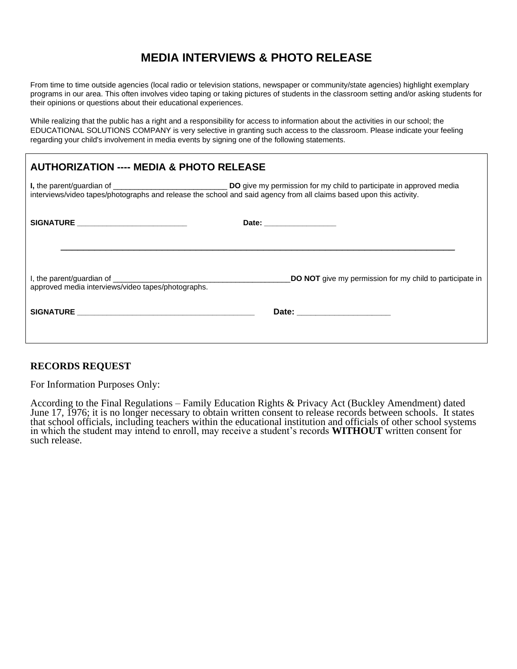# **MEDIA INTERVIEWS & PHOTO RELEASE**

From time to time outside agencies (local radio or television stations, newspaper or community/state agencies) highlight exemplary programs in our area. This often involves video taping or taking pictures of students in the classroom setting and/or asking students for their opinions or questions about their educational experiences.

While realizing that the public has a right and a responsibility for access to information about the activities in our school; the EDUCATIONAL SOLUTIONS COMPANY is very selective in granting such access to the classroom. Please indicate your feeling regarding your child's involvement in media events by signing one of the following statements.

# **AUTHORIZATION ---- MEDIA & PHOTO RELEASE**

| interviews/video tapes/photographs and release the school and said agency from all claims based upon this activity. |                                                                 |  |
|---------------------------------------------------------------------------------------------------------------------|-----------------------------------------------------------------|--|
| SIGNATURE _________________________                                                                                 | Date: __________________                                        |  |
| approved media interviews/video tapes/photographs.                                                                  | <b>DO NOT</b> give my permission for my child to participate in |  |
|                                                                                                                     |                                                                 |  |
|                                                                                                                     |                                                                 |  |

# **RECORDS REQUEST**

For Information Purposes Only:

According to the Final Regulations – Family Education Rights & Privacy Act (Buckley Amendment) dated June 17, 1976; it is no longer necessary to obtain written consent to release records between schools. It states that school officials, including teachers within the educational institution and officials of other school systems in which the student may intend to enroll, may receive a student's records **WITHOUT** written consent for such release.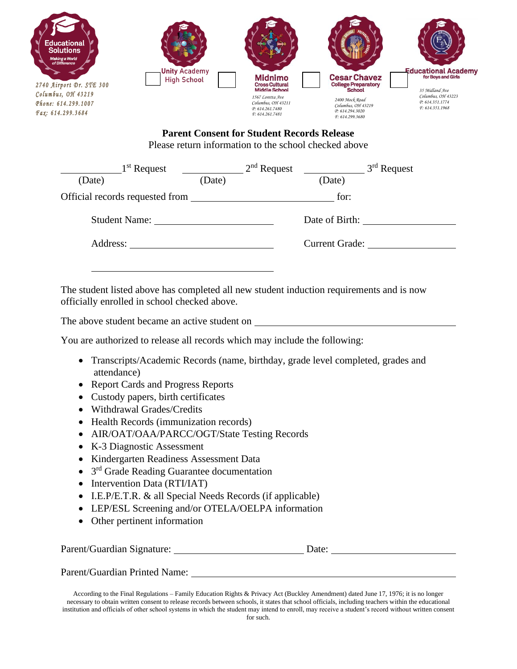

# **Parent Consent for Student Records Release** Please return information to the school checked above

| $1st$ Request                   |        | $2nd$ Request                                  |                | $3rd$ Request |
|---------------------------------|--------|------------------------------------------------|----------------|---------------|
| (Date)                          | (Date) |                                                | (Date)         |               |
| Official records requested from |        | <u> 1989 - John Stein, mars and de Branden</u> | for:           |               |
|                                 |        |                                                | Date of Birth: |               |
| Address:                        |        |                                                | Current Grade: |               |
|                                 |        |                                                |                |               |

The student listed above has completed all new student induction requirements and is now officially enrolled in school checked above.

The above student became an active student on

You are authorized to release all records which may include the following:

- Transcripts/Academic Records (name, birthday, grade level completed, grades and attendance)
- Report Cards and Progress Reports
- Custody papers, birth certificates
- Withdrawal Grades/Credits
- Health Records (immunization records)
- AIR/OAT/OAA/PARCC/OGT/State Testing Records
- K-3 Diagnostic Assessment
- Kindergarten Readiness Assessment Data
- 3<sup>rd</sup> Grade Reading Guarantee documentation
- Intervention Data (RTI/IAT)
- I.E.P/E.T.R. & all Special Needs Records (if applicable)
- LEP/ESL Screening and/or OTELA/OELPA information
- Other pertinent information

| Parent/Guardian Signature:    | Date: |  |
|-------------------------------|-------|--|
|                               |       |  |
| Parent/Guardian Printed Name: |       |  |

According to the Final Regulations – Family Education Rights & Privacy Act (Buckley Amendment) dated June 17, 1976; it is no longer necessary to obtain written consent to release records between schools, it states that school officials, including teachers within the educational institution and officials of other school systems in which the student may intend to enroll, may receive a student's record without written consent for such.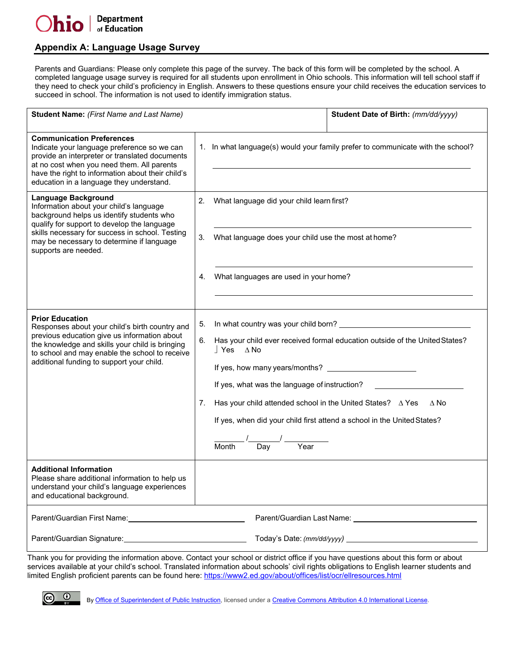$\odot$ 

# **Appendix A: Language Usage Survey**

Parents and Guardians: Please only complete this page of the survey. The back of this form will be completed by the school. A completed language usage survey is required for all students upon enrollment in Ohio schools. This information will tell school staff if they need to check your child's proficiency in English. Answers to these questions ensure your child receives the education services to succeed in school. The information is not used to identify immigration status.

| <b>Communication Preferences</b><br>1. In what language(s) would your family prefer to communicate with the school?<br>Indicate your language preference so we can<br>provide an interpreter or translated documents<br>at no cost when you need them. All parents<br>have the right to information about their child's<br>education in a language they understand.<br><b>Language Background</b><br>What language did your child learn first?<br>2.<br>Information about your child's language<br>background helps us identify students who<br>qualify for support to develop the language<br>skills necessary for success in school. Testing<br>What language does your child use the most at home?<br>3.<br>may be necessary to determine if language<br>supports are needed.<br>What languages are used in your home?<br>4.<br><b>Prior Education</b><br>5.<br>Responses about your child's birth country and<br>previous education give us information about<br>Has your child ever received formal education outside of the United States?<br>6.<br>the knowledge and skills your child is bringing<br>$\sqrt{\ }$ Yes $\Delta$ No<br>to school and may enable the school to receive<br>additional funding to support your child.<br>If yes, what was the language of instruction?<br>Has your child attended school in the United States? $\triangle$ Yes<br>$\Delta$ No<br>7.<br>If yes, when did your child first attend a school in the United States?<br>Year<br>Day<br>Month<br><b>Additional Information</b><br>Please share additional information to help us<br>understand your child's language experiences<br>and educational background.<br>Parent/Guardian First Name: 1990 1991 1992 | <b>Student Name:</b> (First Name and Last Name) | Student Date of Birth: (mm/dd/yyyy) |
|----------------------------------------------------------------------------------------------------------------------------------------------------------------------------------------------------------------------------------------------------------------------------------------------------------------------------------------------------------------------------------------------------------------------------------------------------------------------------------------------------------------------------------------------------------------------------------------------------------------------------------------------------------------------------------------------------------------------------------------------------------------------------------------------------------------------------------------------------------------------------------------------------------------------------------------------------------------------------------------------------------------------------------------------------------------------------------------------------------------------------------------------------------------------------------------------------------------------------------------------------------------------------------------------------------------------------------------------------------------------------------------------------------------------------------------------------------------------------------------------------------------------------------------------------------------------------------------------------------------------------------------------------------------------------------------------------------|-------------------------------------------------|-------------------------------------|
|                                                                                                                                                                                                                                                                                                                                                                                                                                                                                                                                                                                                                                                                                                                                                                                                                                                                                                                                                                                                                                                                                                                                                                                                                                                                                                                                                                                                                                                                                                                                                                                                                                                                                                          |                                                 |                                     |
|                                                                                                                                                                                                                                                                                                                                                                                                                                                                                                                                                                                                                                                                                                                                                                                                                                                                                                                                                                                                                                                                                                                                                                                                                                                                                                                                                                                                                                                                                                                                                                                                                                                                                                          |                                                 |                                     |
|                                                                                                                                                                                                                                                                                                                                                                                                                                                                                                                                                                                                                                                                                                                                                                                                                                                                                                                                                                                                                                                                                                                                                                                                                                                                                                                                                                                                                                                                                                                                                                                                                                                                                                          |                                                 |                                     |
|                                                                                                                                                                                                                                                                                                                                                                                                                                                                                                                                                                                                                                                                                                                                                                                                                                                                                                                                                                                                                                                                                                                                                                                                                                                                                                                                                                                                                                                                                                                                                                                                                                                                                                          |                                                 |                                     |
|                                                                                                                                                                                                                                                                                                                                                                                                                                                                                                                                                                                                                                                                                                                                                                                                                                                                                                                                                                                                                                                                                                                                                                                                                                                                                                                                                                                                                                                                                                                                                                                                                                                                                                          |                                                 |                                     |
|                                                                                                                                                                                                                                                                                                                                                                                                                                                                                                                                                                                                                                                                                                                                                                                                                                                                                                                                                                                                                                                                                                                                                                                                                                                                                                                                                                                                                                                                                                                                                                                                                                                                                                          |                                                 |                                     |
|                                                                                                                                                                                                                                                                                                                                                                                                                                                                                                                                                                                                                                                                                                                                                                                                                                                                                                                                                                                                                                                                                                                                                                                                                                                                                                                                                                                                                                                                                                                                                                                                                                                                                                          |                                                 |                                     |

 Thank you for providing the information above. Contact your school or district office if you have questions about this form or about services available at your child's school. Translated information about schools' civil rights obligations to English learner students and limited English proficient parents can be found here: https://www2.ed.gov/about/offices/list/ocr/ellresources.html

By [Office of Superintendent of Public Instruction, li](http://www.k12.wa.us/)censed under [a Creative Commons Attribution 4.0 International License.](http://creativecommons.org/licenses/by/4.0/)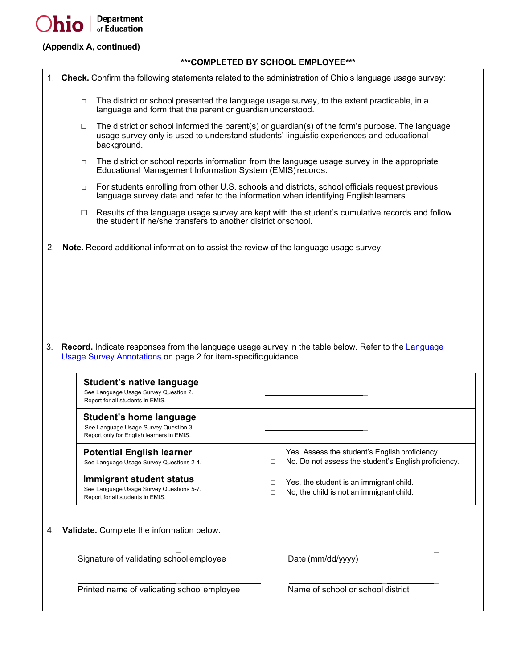

# **(Appendix A, continued)**

#### **\*\*\*COMPLETED BY SCHOOL EMPLOYEE\*\*\***

|  |  |  |  |  | 1. Check. Confirm the following statements related to the administration of Ohio's language usage survey: |  |  |  |
|--|--|--|--|--|-----------------------------------------------------------------------------------------------------------|--|--|--|
|--|--|--|--|--|-----------------------------------------------------------------------------------------------------------|--|--|--|

- $\Box$  The district or school presented the language usage survey, to the extent practicable, in a language and form that the parent or guardianunderstood.
- $\Box$  The district or school informed the parent(s) or guardian(s) of the form's purpose. The language usage survey only is used to understand students' linguistic experiences and educational background.
- $\Box$  The district or school reports information from the language usage survey in the appropriate Educational Management Information System (EMIS)records.
- $\Box$  For students enrolling from other U.S. schools and districts, school officials request previous language survey data and refer to the information when identifying Englishlearners.
- $\Box$  . Results of the language usage survey are kept with the student's cumulative records and follow the student if he/she transfers to another district orschool.
- 2. **Note.** Record additional information to assist the review of the language usage survey.

 3. **Record.** Indicate responses from the language usage survey in the table below. Refer to the Language Usage Survey Annotations on page 2 for item-specificguidance.

| Student's native language<br>See Language Usage Survey Question 2.<br>Report for all students in EMIS.               |                                                                                                             |
|----------------------------------------------------------------------------------------------------------------------|-------------------------------------------------------------------------------------------------------------|
| <b>Student's home language</b><br>See Language Usage Survey Question 3.<br>Report only for English learners in EMIS. |                                                                                                             |
| <b>Potential English learner</b><br>See Language Usage Survey Questions 2-4.                                         | Yes. Assess the student's English proficiency.<br>П<br>No. Do not assess the student's English proficiency. |
| Immigrant student status<br>See Language Usage Survey Questions 5-7.<br>Report for all students in EMIS.             | Yes, the student is an immigrant child.<br>No, the child is not an immigrant child.                         |
| <b>Validate.</b> Complete the information below.<br>4.                                                               |                                                                                                             |
| Signature of validating school employee                                                                              | Date (mm/dd/yyyy)                                                                                           |
| Printed name of validating school employee                                                                           | Name of school or school district                                                                           |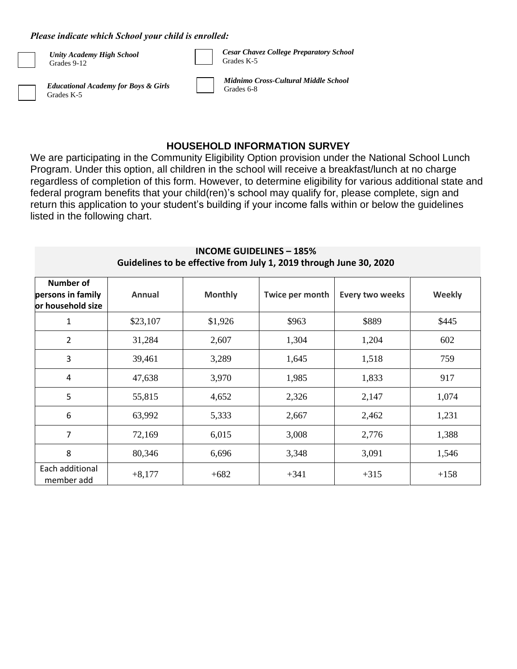#### *Please indicate which School your child is enrolled:*

| <b>Unity Academy High School</b><br>Grades 9-12               | <b>Cesar Chavez College Preparatory School</b><br>Grades K-5 |
|---------------------------------------------------------------|--------------------------------------------------------------|
| <b>Educational Academy for Boys &amp; Girls</b><br>Grades K-5 | Midnimo Cross-Cultural Middle School<br>Grades 6-8           |

# **HOUSEHOLD INFORMATION SURVEY**

We are participating in the Community Eligibility Option provision under the National School Lunch Program. Under this option, all children in the school will receive a breakfast/lunch at no charge regardless of completion of this form. However, to determine eligibility for various additional state and federal program benefits that your child(ren)'s school may qualify for, please complete, sign and return this application to your student's building if your income falls within or below the guidelines listed in the following chart.

| Number of<br>persons in family<br>or household size | Annual   | <b>Monthly</b> | Twice per month | <b>Every two weeks</b> | Weekly |
|-----------------------------------------------------|----------|----------------|-----------------|------------------------|--------|
| 1                                                   | \$23,107 | \$1,926        | \$963           | \$889                  | \$445  |
| $\overline{2}$                                      | 31,284   | 2,607          | 1,304           | 1,204                  | 602    |
| 3                                                   | 39,461   | 3,289          | 1,645           | 1,518                  | 759    |
| 4                                                   | 47,638   | 3,970          | 1,985           | 1,833                  | 917    |
| 5                                                   | 55,815   | 4,652          | 2,326           | 2,147                  | 1,074  |
| 6                                                   | 63,992   | 5,333          | 2,667           | 2,462                  | 1,231  |
| $\overline{7}$                                      | 72,169   | 6,015          | 3,008           | 2,776                  | 1,388  |
| 8                                                   | 80,346   | 6,696          | 3,348           | 3,091                  | 1,546  |
| Each additional<br>member add                       | $+8,177$ | $+682$         | $+341$          | $+315$                 | $+158$ |

# **INCOME GUIDELINES – 185% Guidelines to be effective from July 1, 2019 through June 30, 2020**